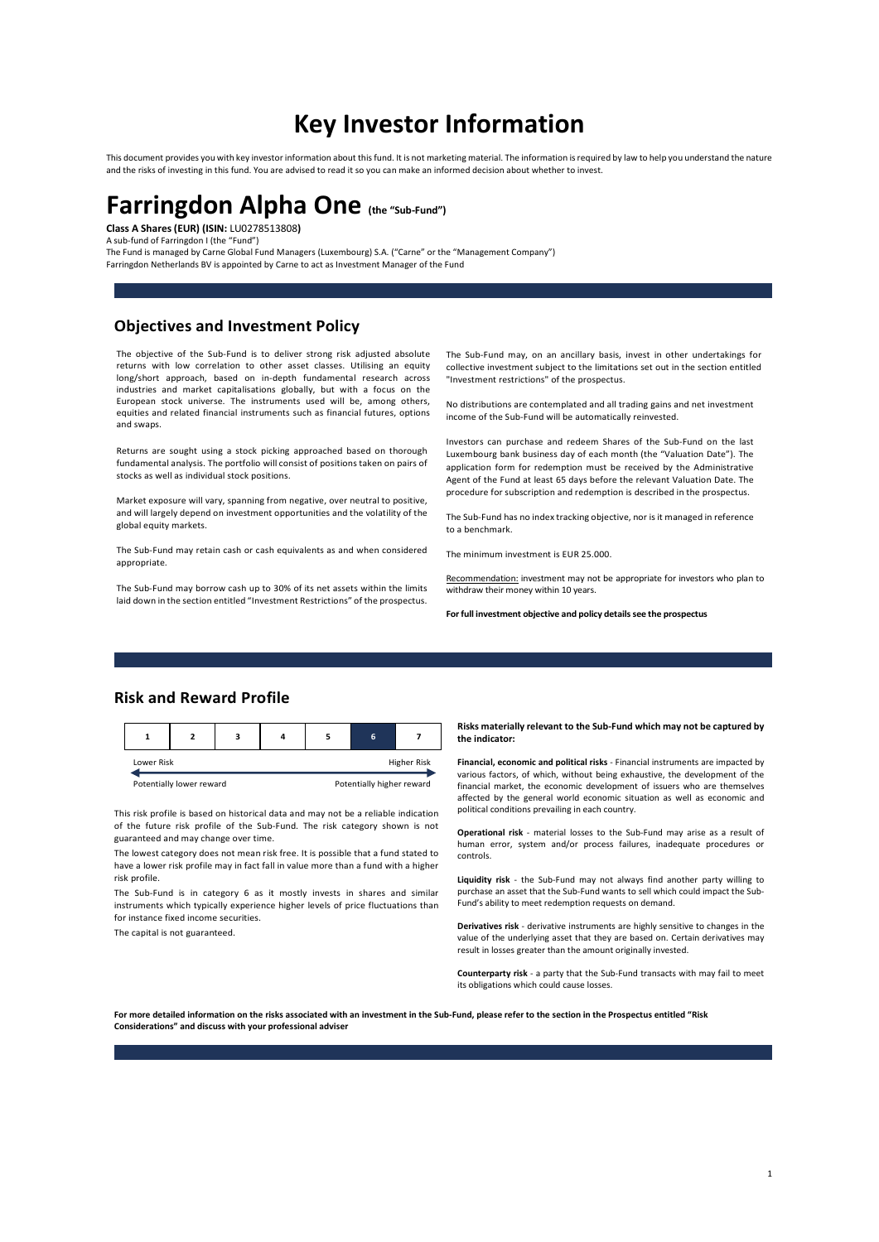# Key Investor Information

This document provides you with key investor information about this fund. It is not marketing material. The information is required by law to help you understand the nature and the risks of investing in this fund. You are advised to read it so you can make an informed decision about whether to invest.

# Farringdon Alpha One (the "Sub-Fund")

Class A Shares (EUR) (ISIN: LU0278513808)

A sub-fund of Farringdon I (the "Fund")

The Fund is managed by Carne Global Fund Managers (Luxembourg) S.A. ("Carne" or the "Management Company") Farringdon Netherlands BV is appointed by Carne to act as Investment Manager of the Fund

## Objectives and Investment Policy

The objective of the Sub-Fund is to deliver strong risk adjusted absolute returns with low correlation to other asset classes. Utilising an equity long/short approach, based on in-depth fundamental research across industries and market capitalisations globally, but with a focus on the European stock universe. The instruments used will be, among others, equities and related financial instruments such as financial futures, options and swaps.

Returns are sought using a stock picking approached based on thorough fundamental analysis. The portfolio will consist of positions taken on pairs of stocks as well as individual stock positions.

Market exposure will vary, spanning from negative, over neutral to positive, and will largely depend on investment opportunities and the volatility of the global equity markets.

The Sub-Fund may retain cash or cash equivalents as and when considered appropriate.

The Sub-Fund may borrow cash up to 30% of its net assets within the limits laid down in the section entitled "Investment Restrictions" of the prospectus.

The Sub-Fund may, on an ancillary basis, invest in other undertakings for collective investment subject to the limitations set out in the section entitled "Investment restrictions" of the prospectus.

No distributions are contemplated and all trading gains and net investment income of the Sub-Fund will be automatically reinvested.

Investors can purchase and redeem Shares of the Sub-Fund on the last Luxembourg bank business day of each month (the "Valuation Date"). The application form for redemption must be received by the Administrative Agent of the Fund at least 65 days before the relevant Valuation Date. The procedure for subscription and redemption is described in the prospectus.

The Sub-Fund has no index tracking objective, nor is it managed in reference to a benchmark.

The minimum investment is EUR 25.000.

Recommendation: investment may not be appropriate for investors who plan to withdraw their money within 10 years.

For full investment objective and policy details see the prospectus

## Risk and Reward Profile

|            |                          |  |  |             |                           |  | <b>KISKS INGLETIONS TEICVANLISHE SUD-FUND WINCH</b><br>the indicator:                                          |
|------------|--------------------------|--|--|-------------|---------------------------|--|----------------------------------------------------------------------------------------------------------------|
| Lower Risk |                          |  |  | Higher Risk |                           |  | Financial, economic and political risks - Financial ins<br>various factors, of which, without being exhaustive |
|            | Potentially lower reward |  |  |             | Potentially higher reward |  | financial market the economic development of is                                                                |

This risk profile is based on historical data and may not be a reliable indication of the future risk profile of the Sub-Fund. The risk category shown is not guaranteed and may change over time.

The lowest category does not mean risk free. It is possible that a fund stated to have a lower risk profile may in fact fall in value more than a fund with a higher risk profile.

The Sub-Fund is in category 6 as it mostly invests in shares and similar instruments which typically experience higher levels of price fluctuations than for instance fixed income securities.

The capital is not guaranteed.

#### Risks materially relevant to the Sub-Fund which may not be captured by the indicator:

Lower Risk **Higher Risk Financial, economic and political risks** - Financial instruments are impacted by various factors, of which, without being exhaustive, the development of the financial market, the economic development of issuers who are themselves affected by the general world economic situation as well as economic and political conditions prevailing in each country.

> Operational risk - material losses to the Sub-Fund may arise as a result of human error, system and/or process failures, inadequate procedures or controls.

> Liquidity risk - the Sub-Fund may not always find another party willing to purchase an asset that the Sub-Fund wants to sell which could impact the Sub-Fund's ability to meet redemption requests on demand.

> Derivatives risk - derivative instruments are highly sensitive to changes in the value of the underlying asset that they are based on. Certain derivatives may result in losses greater than the amount originally invested.

> Counterparty risk - a party that the Sub-Fund transacts with may fail to meet its obligations which could cause losses.

For more detailed information on the risks associated with an investment in the Sub-Fund, please refer to the section in the Prospectus entitled "Risk Considerations" and discuss with your professional adviser